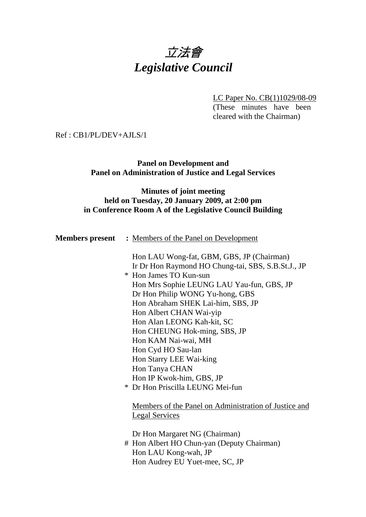# 立法會 *Legislative Council*

LC Paper No. CB(1)1029/08-09 (These minutes have been cleared with the Chairman)

Ref : CB1/PL/DEV+AJLS/1

**Panel on Development and Panel on Administration of Justice and Legal Services** 

### **Minutes of joint meeting held on Tuesday, 20 January 2009, at 2:00 pm in Conference Room A of the Legislative Council Building**

|                                                                                            | <b>Members present</b> : Members of the Panel on Development                                    |  |
|--------------------------------------------------------------------------------------------|-------------------------------------------------------------------------------------------------|--|
|                                                                                            | Hon LAU Wong-fat, GBM, GBS, JP (Chairman)<br>Ir Dr Hon Raymond HO Chung-tai, SBS, S.B.St.J., JP |  |
|                                                                                            | * Hon James TO Kun-sun                                                                          |  |
|                                                                                            | Hon Mrs Sophie LEUNG LAU Yau-fun, GBS, JP                                                       |  |
|                                                                                            | Dr Hon Philip WONG Yu-hong, GBS                                                                 |  |
| Hon Abraham SHEK Lai-him, SBS, JP<br>Hon Albert CHAN Wai-yip<br>Hon Alan LEONG Kah-kit, SC |                                                                                                 |  |
|                                                                                            |                                                                                                 |  |
|                                                                                            |                                                                                                 |  |
|                                                                                            | Hon CHEUNG Hok-ming, SBS, JP                                                                    |  |
|                                                                                            | Hon KAM Nai-wai, MH                                                                             |  |
|                                                                                            | Hon Cyd HO Sau-lan                                                                              |  |
|                                                                                            | Hon Starry LEE Wai-king                                                                         |  |
|                                                                                            | Hon Tanya CHAN                                                                                  |  |
|                                                                                            | Hon IP Kwok-him, GBS, JP                                                                        |  |
|                                                                                            | * Dr Hon Priscilla LEUNG Mei-fun                                                                |  |
|                                                                                            | Members of the Panel on Administration of Justice and<br><b>Legal Services</b>                  |  |
|                                                                                            |                                                                                                 |  |
|                                                                                            | Dr Hon Margaret NG (Chairman)                                                                   |  |
|                                                                                            | # Hon Albert HO Chun-yan (Deputy Chairman)                                                      |  |
|                                                                                            | Hon LAU Kong-wah, JP                                                                            |  |
|                                                                                            | Hon Audrey EU Yuet-mee, SC, JP                                                                  |  |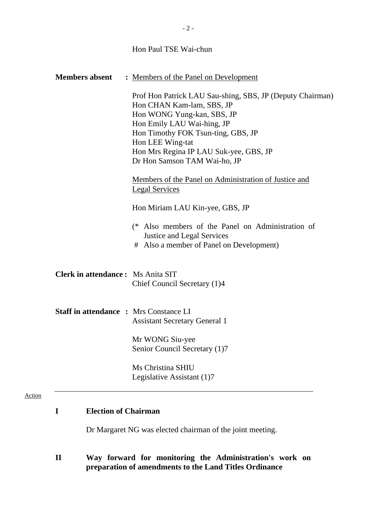| <b>Members absent</b>                         | : Members of the Panel on Development<br>Prof Hon Patrick LAU Sau-shing, SBS, JP (Deputy Chairman)<br>Hon CHAN Kam-lam, SBS, JP<br>Hon WONG Yung-kan, SBS, JP<br>Hon Emily LAU Wai-hing, JP<br>Hon Timothy FOK Tsun-ting, GBS, JP<br>Hon LEE Wing-tat<br>Hon Mrs Regina IP LAU Suk-yee, GBS, JP<br>Dr Hon Samson TAM Wai-ho, JP<br>Members of the Panel on Administration of Justice and<br><b>Legal Services</b><br>Hon Miriam LAU Kin-yee, GBS, JP |
|-----------------------------------------------|------------------------------------------------------------------------------------------------------------------------------------------------------------------------------------------------------------------------------------------------------------------------------------------------------------------------------------------------------------------------------------------------------------------------------------------------------|
|                                               | (* Also members of the Panel on Administration of<br><b>Justice and Legal Services</b><br># Also a member of Panel on Development)                                                                                                                                                                                                                                                                                                                   |
| <b>Clerk in attendance:</b> Ms Anita SIT      | Chief Council Secretary (1)4                                                                                                                                                                                                                                                                                                                                                                                                                         |
| <b>Staff in attendance : Mrs Constance LI</b> | <b>Assistant Secretary General 1</b><br>Mr WONG Siu-yee                                                                                                                                                                                                                                                                                                                                                                                              |
|                                               | Senior Council Secretary (1)7<br>Ms Christina SHIU<br>Legislative Assistant (1)7                                                                                                                                                                                                                                                                                                                                                                     |

#### Action

#### **I Election of Chairman**

Dr Margaret NG was elected chairman of the joint meeting.

**II Way forward for monitoring the Administration's work on preparation of amendments to the Land Titles Ordinance** 

Hon Paul TSE Wai-chun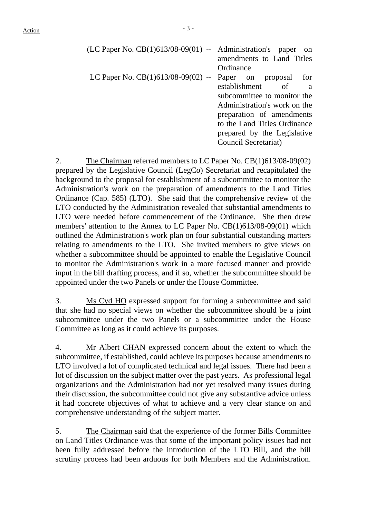| $(LC$ Paper No. $CB(1)613/08-09(01)$ -- Administration's paper on | amendments to Land Titles          |
|-------------------------------------------------------------------|------------------------------------|
|                                                                   | Ordinance                          |
| LC Paper No. $CB(1)613/08-09(02)$ -- Paper on proposal            | for                                |
|                                                                   | establishment of<br>$\overline{a}$ |
|                                                                   | subcommittee to monitor the        |
|                                                                   | Administration's work on the       |
|                                                                   | preparation of amendments          |
|                                                                   | to the Land Titles Ordinance       |
|                                                                   | prepared by the Legislative        |
|                                                                   | Council Secretariat)               |

2. The Chairman referred members to LC Paper No. CB(1)613/08-09(02) prepared by the Legislative Council (LegCo) Secretariat and recapitulated the background to the proposal for establishment of a subcommittee to monitor the Administration's work on the preparation of amendments to the Land Titles Ordinance (Cap. 585) (LTO). She said that the comprehensive review of the LTO conducted by the Administration revealed that substantial amendments to LTO were needed before commencement of the Ordinance. She then drew members' attention to the Annex to LC Paper No. CB(1)613/08-09(01) which outlined the Administration's work plan on four substantial outstanding matters relating to amendments to the LTO. She invited members to give views on whether a subcommittee should be appointed to enable the Legislative Council to monitor the Administration's work in a more focused manner and provide input in the bill drafting process, and if so, whether the subcommittee should be appointed under the two Panels or under the House Committee.

3. Ms Cyd HO expressed support for forming a subcommittee and said that she had no special views on whether the subcommittee should be a joint subcommittee under the two Panels or a subcommittee under the House Committee as long as it could achieve its purposes.

4. Mr Albert CHAN expressed concern about the extent to which the subcommittee, if established, could achieve its purposes because amendments to LTO involved a lot of complicated technical and legal issues. There had been a lot of discussion on the subject matter over the past years. As professional legal organizations and the Administration had not yet resolved many issues during their discussion, the subcommittee could not give any substantive advice unless it had concrete objectives of what to achieve and a very clear stance on and comprehensive understanding of the subject matter.

5. The Chairman said that the experience of the former Bills Committee on Land Titles Ordinance was that some of the important policy issues had not been fully addressed before the introduction of the LTO Bill, and the bill scrutiny process had been arduous for both Members and the Administration.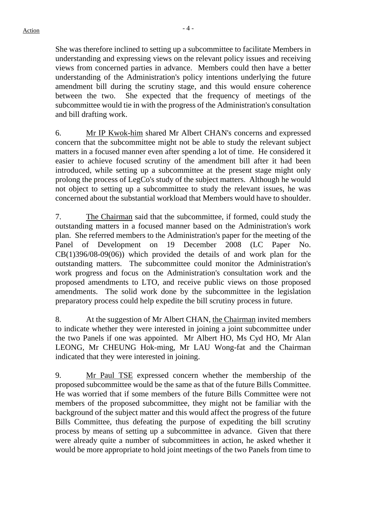She was therefore inclined to setting up a subcommittee to facilitate Members in understanding and expressing views on the relevant policy issues and receiving views from concerned parties in advance. Members could then have a better understanding of the Administration's policy intentions underlying the future amendment bill during the scrutiny stage, and this would ensure coherence between the two. She expected that the frequency of meetings of the subcommittee would tie in with the progress of the Administration's consultation and bill drafting work.

6. Mr IP Kwok-him shared Mr Albert CHAN's concerns and expressed concern that the subcommittee might not be able to study the relevant subject matters in a focused manner even after spending a lot of time. He considered it easier to achieve focused scrutiny of the amendment bill after it had been introduced, while setting up a subcommittee at the present stage might only prolong the process of LegCo's study of the subject matters. Although he would not object to setting up a subcommittee to study the relevant issues, he was concerned about the substantial workload that Members would have to shoulder.

7. The Chairman said that the subcommittee, if formed, could study the outstanding matters in a focused manner based on the Administration's work plan. She referred members to the Administration's paper for the meeting of the Panel of Development on 19 December 2008 (LC Paper No. CB(1)396/08-09(06)) which provided the details of and work plan for the outstanding matters. The subcommittee could monitor the Administration's work progress and focus on the Administration's consultation work and the proposed amendments to LTO, and receive public views on those proposed amendments. The solid work done by the subcommittee in the legislation preparatory process could help expedite the bill scrutiny process in future.

8. At the suggestion of Mr Albert CHAN, the Chairman invited members to indicate whether they were interested in joining a joint subcommittee under the two Panels if one was appointed. Mr Albert HO, Ms Cyd HO, Mr Alan LEONG, Mr CHEUNG Hok-ming, Mr LAU Wong-fat and the Chairman indicated that they were interested in joining.

9. Mr Paul TSE expressed concern whether the membership of the proposed subcommittee would be the same as that of the future Bills Committee. He was worried that if some members of the future Bills Committee were not members of the proposed subcommittee, they might not be familiar with the background of the subject matter and this would affect the progress of the future Bills Committee, thus defeating the purpose of expediting the bill scrutiny process by means of setting up a subcommittee in advance. Given that there were already quite a number of subcommittees in action, he asked whether it would be more appropriate to hold joint meetings of the two Panels from time to